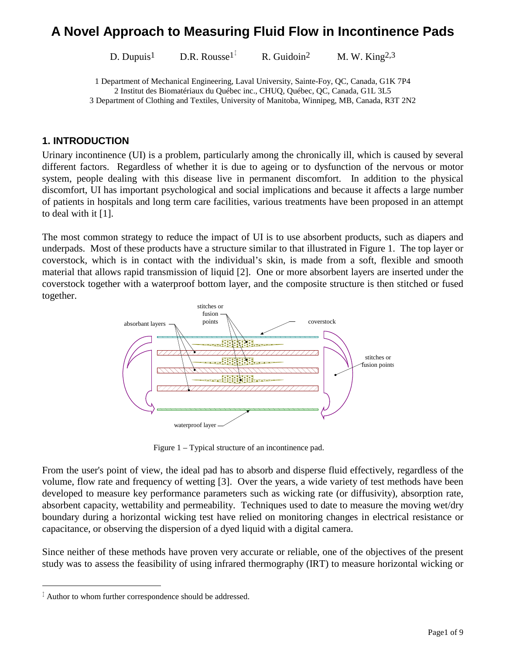# **A Novel Approach to Measuring Fluid Flow in Incontinence Pads**

D. Dupuis<sup>1</sup> D.R. Rousse<sup>1 $\uparrow$ </sup> R. Guidoin<sup>2</sup> M. W. King<sup>2,3</sup>

1 Department of Mechanical Engineering, Laval University, Sainte-Foy, QC, Canada, G1K 7P4 2 Institut des Biomatériaux du Québec inc., CHUQ, Québec, QC, Canada, G1L 3L5 3 Department of Clothing and Textiles, University of Manitoba, Winnipeg, MB, Canada, R3T 2N2

#### **1. INTRODUCTION**

Urinary incontinence (UI) is a problem, particularly among the chronically ill, which is caused by several different factors. Regardless of whether it is due to ageing or to dysfunction of the nervous or motor system, people dealing with this disease live in permanent discomfort. In addition to the physical discomfort, UI has important psychological and social implications and because it affects a large number of patients in hospitals and long term care facilities, various treatments have been proposed in an attempt to deal with it [1].

The most common strategy to reduce the impact of UI is to use absorbent products, such as diapers and underpads. Most of these products have a structure similar to that illustrated in Figure 1. The top layer or coverstock, which is in contact with the individual's skin, is made from a soft, flexible and smooth material that allows rapid transmission of liquid [2]. One or more absorbent layers are inserted under the coverstock together with a waterproof bottom layer, and the composite structure is then stitched or fused together.



Figure 1 – Typical structure of an incontinence pad.

From the user's point of view, the ideal pad has to absorb and disperse fluid effectively, regardless of the volume, flow rate and frequency of wetting [3]. Over the years, a wide variety of test methods have been developed to measure key performance parameters such as wicking rate (or diffusivity), absorption rate, absorbent capacity, wettability and permeability. Techniques used to date to measure the moving wet/dry boundary during a horizontal wicking test have relied on monitoring changes in electrical resistance or capacitance, or observing the dispersion of a dyed liquid with a digital camera.

Since neither of these methods have proven very accurate or reliable, one of the objectives of the present study was to assess the feasibility of using infrared thermography (IRT) to measure horizontal wicking or

-

<span id="page-0-0"></span> $\hat{A}$  Author to whom further correspondence should be addressed.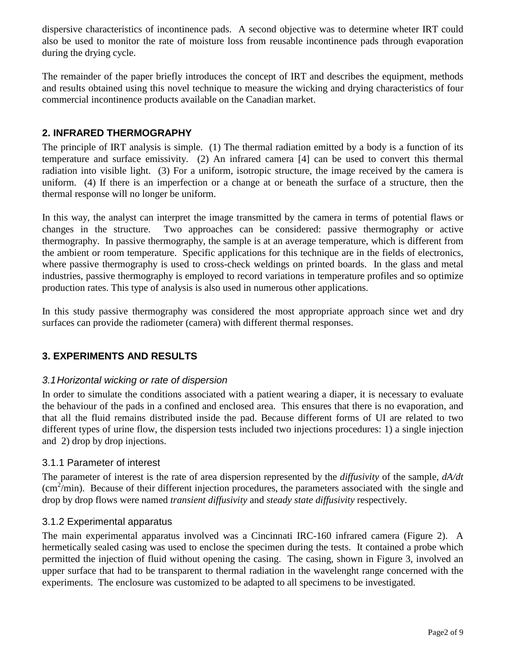dispersive characteristics of incontinence pads. A second objective was to determine wheter IRT could also be used to monitor the rate of moisture loss from reusable incontinence pads through evaporation during the drying cycle.

The remainder of the paper briefly introduces the concept of IRT and describes the equipment, methods and results obtained using this novel technique to measure the wicking and drying characteristics of four commercial incontinence products available on the Canadian market.

## **2. INFRARED THERMOGRAPHY**

The principle of IRT analysis is simple. (1) The thermal radiation emitted by a body is a function of its temperature and surface emissivity. (2) An infrared camera [4] can be used to convert this thermal radiation into visible light. (3) For a uniform, isotropic structure, the image received by the camera is uniform. (4) If there is an imperfection or a change at or beneath the surface of a structure, then the thermal response will no longer be uniform.

In this way, the analyst can interpret the image transmitted by the camera in terms of potential flaws or changes in the structure. Two approaches can be considered: passive thermography or active thermography. In passive thermography, the sample is at an average temperature, which is different from the ambient or room temperature. Specific applications for this technique are in the fields of electronics, where passive thermography is used to cross-check weldings on printed boards. In the glass and metal industries, passive thermography is employed to record variations in temperature profiles and so optimize production rates. This type of analysis is also used in numerous other applications.

In this study passive thermography was considered the most appropriate approach since wet and dry surfaces can provide the radiometer (camera) with different thermal responses.

## **3. EXPERIMENTS AND RESULTS**

## *3.1Horizontal wicking or rate of dispersion*

In order to simulate the conditions associated with a patient wearing a diaper, it is necessary to evaluate the behaviour of the pads in a confined and enclosed area. This ensures that there is no evaporation, and that all the fluid remains distributed inside the pad. Because different forms of UI are related to two different types of urine flow, the dispersion tests included two injections procedures: 1) a single injection and 2) drop by drop injections.

### 3.1.1 Parameter of interest

The parameter of interest is the rate of area dispersion represented by the *diffusivity* of the sample, *dA/dt*  $(cm<sup>2</sup>/min)$ . Because of their different injection procedures, the parameters associated with the single and drop by drop flows were named *transient diffusivity* and *steady state diffusivity* respectively.

### 3.1.2 Experimental apparatus

The main experimental apparatus involved was a Cincinnati IRC-160 infrared camera (Figure 2). A hermetically sealed casing was used to enclose the specimen during the tests. It contained a probe which permitted the injection of fluid without opening the casing. The casing, shown in Figure 3, involved an upper surface that had to be transparent to thermal radiation in the wavelenght range concerned with the experiments. The enclosure was customized to be adapted to all specimens to be investigated.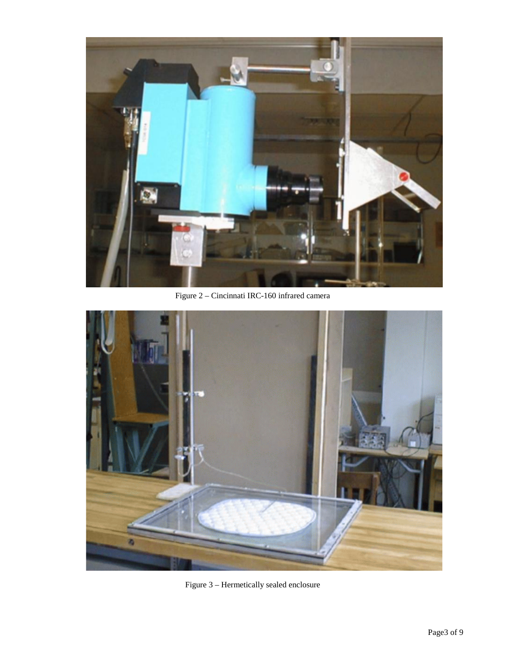

Figure 2 – Cincinnati IRC-160 infrared camera



Figure 3 – Hermetically sealed enclosure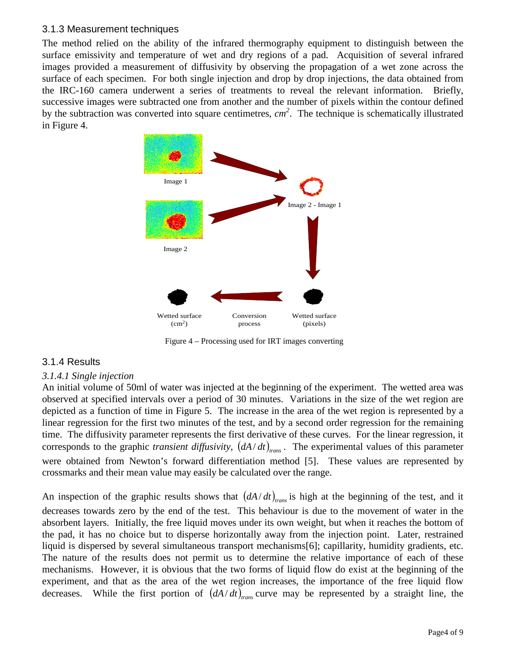### 3.1.3 Measurement techniques

The method relied on the ability of the infrared thermography equipment to distinguish between the surface emissivity and temperature of wet and dry regions of a pad. Acquisition of several infrared images provided a measurement of diffusivity by observing the propagation of a wet zone across the surface of each specimen. For both single injection and drop by drop injections, the data obtained from the IRC-160 camera underwent a series of treatments to reveal the relevant information. Briefly, successive images were subtracted one from another and the number of pixels within the contour defined by the subtraction was converted into square centimetres, *cm 2* . The technique is schematically illustrated in Figure 4.



Figure 4 – Processing used for IRT images converting

### 3.1.4 Results

### *3.1.4.1 Single injection*

An initial volume of 50ml of water was injected at the beginning of the experiment. The wetted area was observed at specified intervals over a period of 30 minutes. Variations in the size of the wet region are depicted as a function of time in Figure 5. The increase in the area of the wet region is represented by a linear regression for the first two minutes of the test, and by a second order regression for the remaining time. The diffusivity parameter represents the first derivative of these curves. For the linear regression, it corresponds to the graphic *transient diffusivity*,  $(dA/dt)_{trans}$ . The experimental values of this parameter were obtained from Newton's forward differentiation method [5]. These values are represented by crossmarks and their mean value may easily be calculated over the range.

An inspection of the graphic results shows that  $(dA/dt)_{trans}$  is high at the beginning of the test, and it decreases towards zero by the end of the test. This behaviour is due to the movement of water in the absorbent layers. Initially, the free liquid moves under its own weight, but when it reaches the bottom of the pad, it has no choice but to disperse horizontally away from the injection point. Later, restrained liquid is dispersed by several simultaneous transport mechanisms[6]; capillarity, humidity gradients, etc. The nature of the results does not permit us to determine the relative importance of each of these mechanisms. However, it is obvious that the two forms of liquid flow do exist at the beginning of the experiment, and that as the area of the wet region increases, the importance of the free liquid flow decreases. While the first portion of  $(dA/dt)_{trans}$  curve may be represented by a straight line, the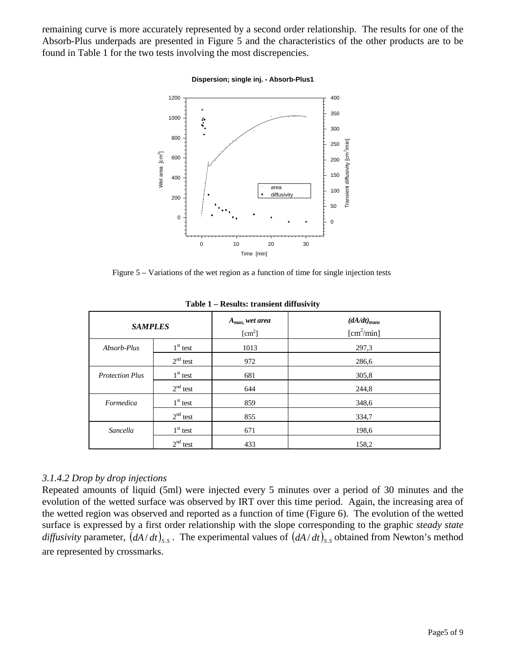remaining curve is more accurately represented by a second order relationship. The results for one of the Absorb-Plus underpads are presented in Figure 5 and the characteristics of the other products are to be found in Table 1 for the two tests involving the most discrepencies.

**Dispersion; single inj. - Absorb-Plus1**



Figure 5 – Variations of the wet region as a function of time for single injection tests

| <b>SAMPLES</b>         |            | $A_{max}$ , wet area<br>$[cm^2]$ | $(dA/dt)_{trans}$<br>$[cm^2/min]$ |
|------------------------|------------|----------------------------------|-----------------------------------|
| Absorb-Plus            | $1st$ test | 1013                             | 297,3                             |
|                        | $2nd$ test | 972                              | 286,6                             |
| <b>Protection Plus</b> | $1st$ test | 681                              | 305,8                             |
|                        | $2nd$ test | 644                              | 244,8                             |
| Formedica              | $1st$ test | 859                              | 348,6                             |
|                        | $2nd$ test | 855                              | 334,7                             |
| Sancella               | $1st$ test | 671                              | 198,6                             |
|                        | $2nd$ test | 433                              | 158,2                             |

**Table 1 – Results: transient diffusivity**

### *3.1.4.2 Drop by drop injections*

Repeated amounts of liquid (5ml) were injected every 5 minutes over a period of 30 minutes and the evolution of the wetted surface was observed by IRT over this time period. Again, the increasing area of the wetted region was observed and reported as a function of time (Figure 6). The evolution of the wetted surface is expressed by a first order relationship with the slope corresponding to the graphic *steady state diffusivity* parameter,  $(dA/dt)_{s.s}$ . The experimental values of  $(dA/dt)_{s.s}$  obtained from Newton's method are represented by crossmarks.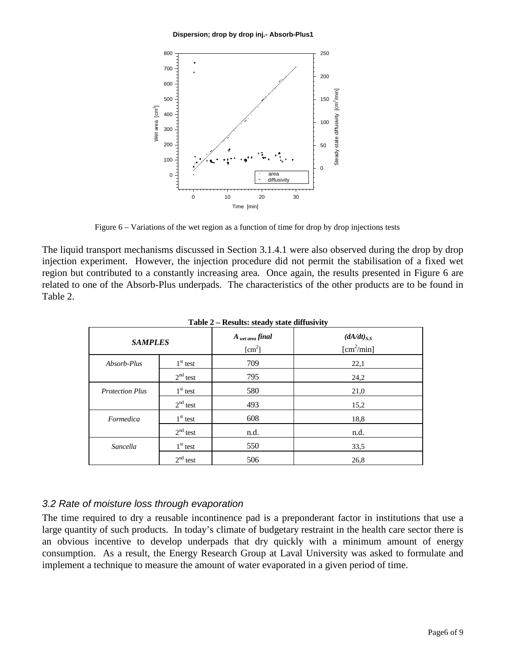

Figure 6 – Variations of the wet region as a function of time for drop by drop injections tests

The liquid transport mechanisms discussed in Section 3.1.4.1 were also observed during the drop by drop injection experiment. However, the injection procedure did not permit the stabilisation of a fixed wet region but contributed to a constantly increasing area. Once again, the results presented in Figure 6 are related to one of the Absorb-Plus underpads. The characteristics of the other products are to be found in Table 2.

| <b>SAMPLES</b>         |            | A <sub>wet area</sub> final<br>$[cm^2]$ | $(dA/dt)_{S.S}$<br>$[cm^2/min]$ |
|------------------------|------------|-----------------------------------------|---------------------------------|
| Absorb-Plus            | $1st$ test | 709                                     | 22,1                            |
|                        | $2nd$ test | 795                                     | 24,2                            |
| <b>Protection Plus</b> | $1st$ test | 580                                     | 21,0                            |
|                        | $2nd$ test | 493                                     | 15,2                            |
| Formedica              | $1st$ test | 608                                     | 18,8                            |
|                        | $2nd$ test | n.d.                                    | n.d.                            |
| Sancella               | $1st$ test | 550                                     | 33,5                            |
|                        | $2nd$ test | 506                                     | 26,8                            |

**Table 2 – Results: steady state diffusivity**

### *3.2 Rate of moisture loss through evaporation*

The time required to dry a reusable incontinence pad is a preponderant factor in institutions that use a large quantity of such products. In today's climate of budgetary restraint in the health care sector there is an obvious incentive to develop underpads that dry quickly with a minimum amount of energy consumption. As a result, the Energy Research Group at Laval University was asked to formulate and implement a technique to measure the amount of water evaporated in a given period of time.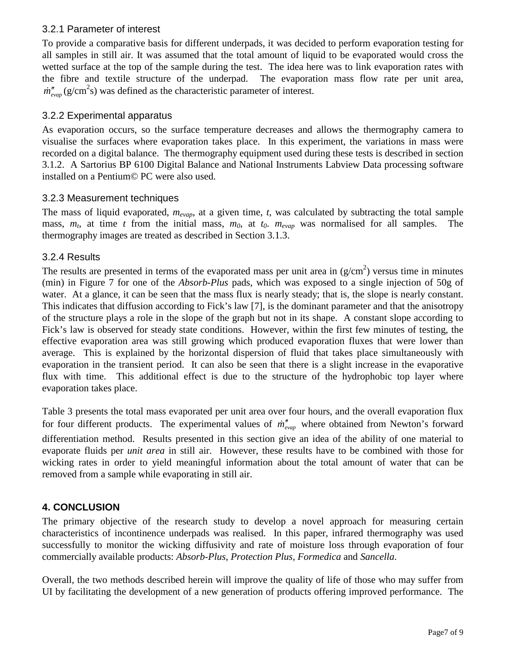## 3.2.1 Parameter of interest

To provide a comparative basis for different underpads, it was decided to perform evaporation testing for all samples in still air. It was assumed that the total amount of liquid to be evaporated would cross the wetted surface at the top of the sample during the test. The idea here was to link evaporation rates with the fibre and textile structure of the underpad. The evaporation mass flow rate per unit area,  $\dot{m}''_{evap}$  (g/cm<sup>2</sup>s) was defined as the characteristic parameter of interest.

## 3.2.2 Experimental apparatus

As evaporation occurs, so the surface temperature decreases and allows the thermography camera to visualise the surfaces where evaporation takes place. In this experiment, the variations in mass were recorded on a digital balance. The thermography equipment used during these tests is described in section 3.1.2. A Sartorius BP 6100 Digital Balance and National Instruments Labview Data processing software installed on a Pentium© PC were also used.

### 3.2.3 Measurement techniques

The mass of liquid evaporated, *mevap*, at a given time, *t*, was calculated by subtracting the total sample mass,  $m_t$ , at time *t* from the initial mass,  $m_0$ , at  $t_0$ .  $m_{evap}$  was normalised for all samples. The thermography images are treated as described in Section 3.1.3.

#### 3.2.4 Results

The results are presented in terms of the evaporated mass per unit area in  $(g/cm<sup>2</sup>)$  versus time in minutes (min) in Figure 7 for one of the *Absorb-Plus* pads, which was exposed to a single injection of 50g of water. At a glance, it can be seen that the mass flux is nearly steady; that is, the slope is nearly constant. This indicates that diffusion according to Fick's law [7], is the dominant parameter and that the anisotropy of the structure plays a role in the slope of the graph but not in its shape. A constant slope according to Fick's law is observed for steady state conditions. However, within the first few minutes of testing, the effective evaporation area was still growing which produced evaporation fluxes that were lower than average. This is explained by the horizontal dispersion of fluid that takes place simultaneously with evaporation in the transient period. It can also be seen that there is a slight increase in the evaporative flux with time. This additional effect is due to the structure of the hydrophobic top layer where evaporation takes place.

Table 3 presents the total mass evaporated per unit area over four hours, and the overall evaporation flux for four different products. The experimental values of  $\dot{m}''_{evap}$  where obtained from Newton's forward differentiation method. Results presented in this section give an idea of the ability of one material to evaporate fluids per *unit area* in still air. However, these results have to be combined with those for wicking rates in order to yield meaningful information about the total amount of water that can be removed from a sample while evaporating in still air.

### **4. CONCLUSION**

The primary objective of the research study to develop a novel approach for measuring certain characteristics of incontinence underpads was realised. In this paper, infrared thermography was used successfully to monitor the wicking diffusivity and rate of moisture loss through evaporation of four commercially available products: *Absorb-Plus*, *Protection Plus*, *Formedica* and *Sancella*.

Overall, the two methods described herein will improve the quality of life of those who may suffer from UI by facilitating the development of a new generation of products offering improved performance. The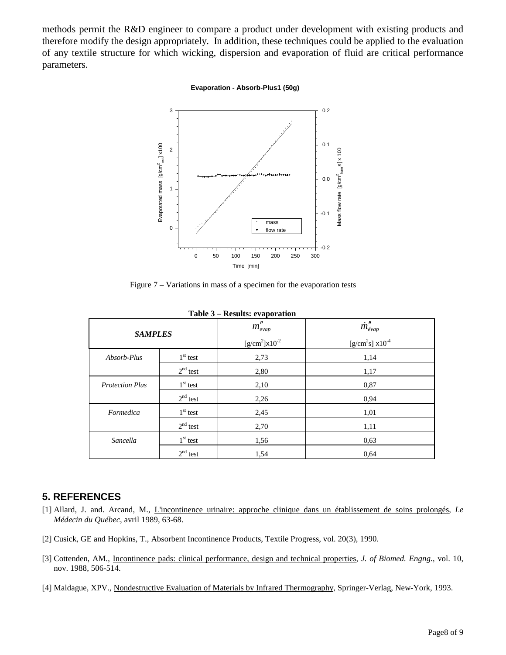methods permit the R&D engineer to compare a product under development with existing products and therefore modify the design appropriately. In addition, these techniques could be applied to the evaluation of any textile structure for which wicking, dispersion and evaporation of fluid are critical performance parameters.

**Evaporation - Absorb-Plus1 (50g)**



Figure 7 – Variations in mass of a specimen for the evaporation tests

| $1$ able $5$ – Results. Craporation |            |                           |                            |  |  |
|-------------------------------------|------------|---------------------------|----------------------------|--|--|
| <b>SAMPLES</b>                      |            | $m''_{evap}$              | $\dot{m}''_{\acute{e}vap}$ |  |  |
|                                     |            | $[g/cm^2] \times 10^{-2}$ | [ $g/cm2s$ ] $x10-4$       |  |  |
| Absorb-Plus                         | $1st$ test | 2,73                      | 1,14                       |  |  |
|                                     | $2nd$ test | 2,80                      | 1,17                       |  |  |
| <b>Protection Plus</b>              | $1st$ test | 2,10                      | 0,87                       |  |  |
|                                     | $2nd$ test | 2,26                      | 0.94                       |  |  |
| Formedica                           | $1st$ test | 2,45                      | 1,01                       |  |  |
|                                     | $2nd$ test | 2,70                      | 1,11                       |  |  |
| Sancella                            | $1st$ test | 1,56                      | 0,63                       |  |  |
|                                     | $2nd$ test | 1,54                      | 0.64                       |  |  |

**Table 3 – Results: evaporation**

### **5. REFERENCES**

- [1] Allard, J. and. Arcand, M., L'incontinence urinaire: approche clinique dans un établissement de soins prolongés, *Le Médecin du Québec*, avril 1989, 63-68.
- [2] Cusick, GE and Hopkins, T., Absorbent Incontinence Products, Textile Progress, vol. 20(3), 1990.
- [3] Cottenden, AM., Incontinence pads: clinical performance, design and technical properties, *J. of Biomed. Engng.*, vol. 10, nov. 1988, 506-514.
- [4] Maldague, XPV., Nondestructive Evaluation of Materials by Infrared Thermography, Springer-Verlag, New-York, 1993.